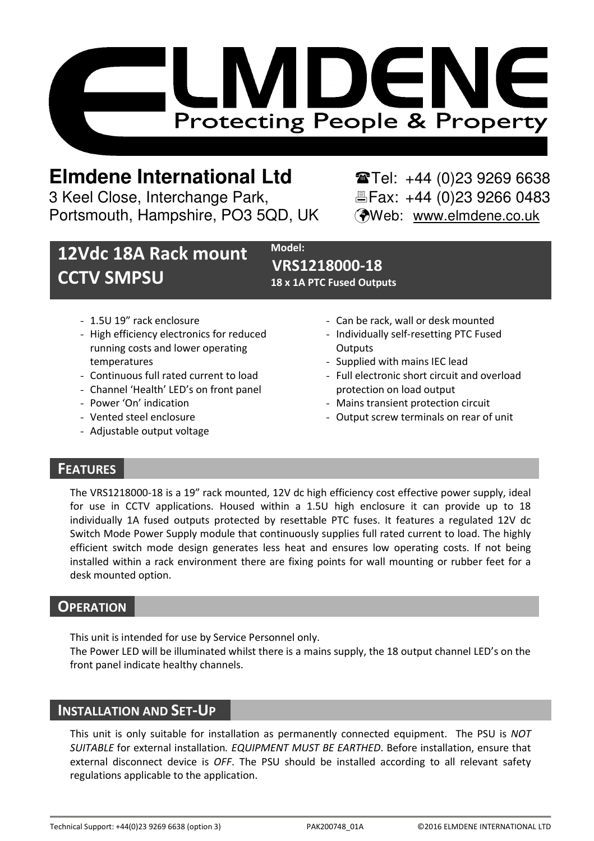

# **Elmdene International Ltd** Tel: +44 (0)23 9269 6638

3 Keel Close, Interchange Park, Fax: +44 (0)23 9266 0483 Portsmouth, Hampshire, PO3 5QD, UK (Web: www.elmdene.co.uk

# 12Vdc 18A Rack mount CCTV SMPSU

Model: VRS1218000-18 18 x 1A PTC Fused Outputs

- 1.5U 19" rack enclosure
- High efficiency electronics for reduced running costs and lower operating temperatures
- Continuous full rated current to load
- Channel 'Health' LED's on front panel
- Power 'On' indication
- Vented steel enclosure
- Adjustable output voltage
- Can be rack, wall or desk mounted
- Individually self-resetting PTC Fused **Outputs**
- Supplied with mains IEC lead
- Full electronic short circuit and overload protection on load output
- Mains transient protection circuit
- Output screw terminals on rear of unit

## **FEATURES**

The VRS1218000-18 is a 19" rack mounted, 12V dc high efficiency cost effective power supply, ideal for use in CCTV applications. Housed within a 1.5U high enclosure it can provide up to 18 individually 1A fused outputs protected by resettable PTC fuses. It features a regulated 12V dc Switch Mode Power Supply module that continuously supplies full rated current to load. The highly efficient switch mode design generates less heat and ensures low operating costs. If not being installed within a rack environment there are fixing points for wall mounting or rubber feet for a desk mounted option.

## **OPERATION**

This unit is intended for use by Service Personnel only.

The Power LED will be illuminated whilst there is a mains supply, the 18 output channel LED's on the front panel indicate healthy channels.

## INSTALLATION AND SET-UP

This unit is only suitable for installation as permanently connected equipment. The PSU is NOT SUITABLE for external installation. EQUIPMENT MUST BE EARTHED. Before installation, ensure that external disconnect device is OFF. The PSU should be installed according to all relevant safety regulations applicable to the application.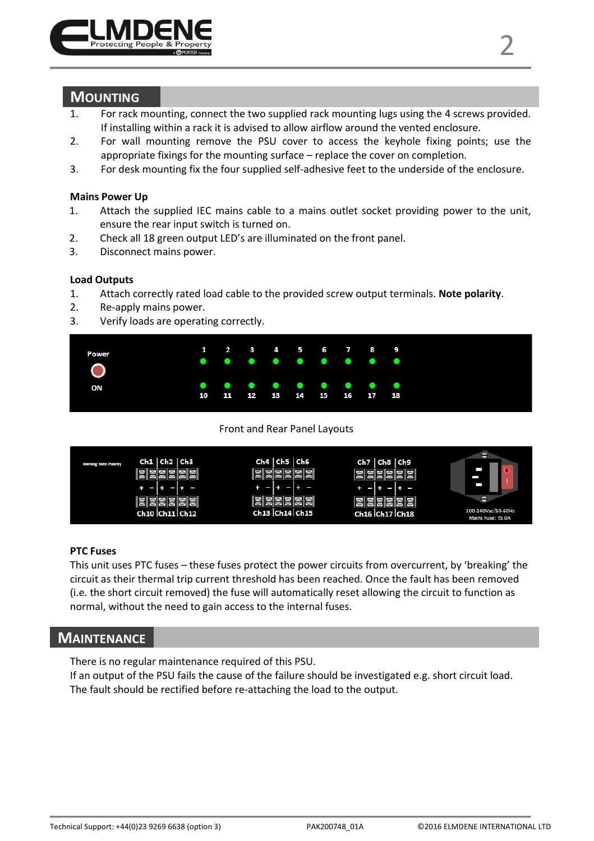

- 2. For wall mounting remove the PSU cover to access the keyhole fixing points; use the appropriate fixings for the mounting surface – replace the cover on completion.
- 3. For desk mounting fix the four supplied self-adhesive feet to the underside of the enclosure.

#### Mains Power Up

- 1. Attach the supplied IEC mains cable to a mains outlet socket providing power to the unit, ensure the rear input switch is turned on.
- 2. Check all 18 green output LED's are illuminated on the front panel.
- 3. Disconnect mains power.

#### Load Outputs

- 1. Attach correctly rated load cable to the provided screw output terminals. Note polarity.
- 2. Re-apply mains power.
- 3. Verify loads are operating correctly.



Front and Rear Panel Layouts



#### PTC Fuses

This unit uses PTC fuses – these fuses protect the power circuits from overcurrent, by 'breaking' the circuit as their thermal trip current threshold has been reached. Once the fault has been removed (i.e. the short circuit removed) the fuse will automatically reset allowing the circuit to function as normal, without the need to gain access to the internal fuses.

## **MAINTENANCE**

There is no regular maintenance required of this PSU. If an output of the PSU fails the cause of the failure should be investigated e.g. short circuit load. The fault should be rectified before re-attaching the load to the output.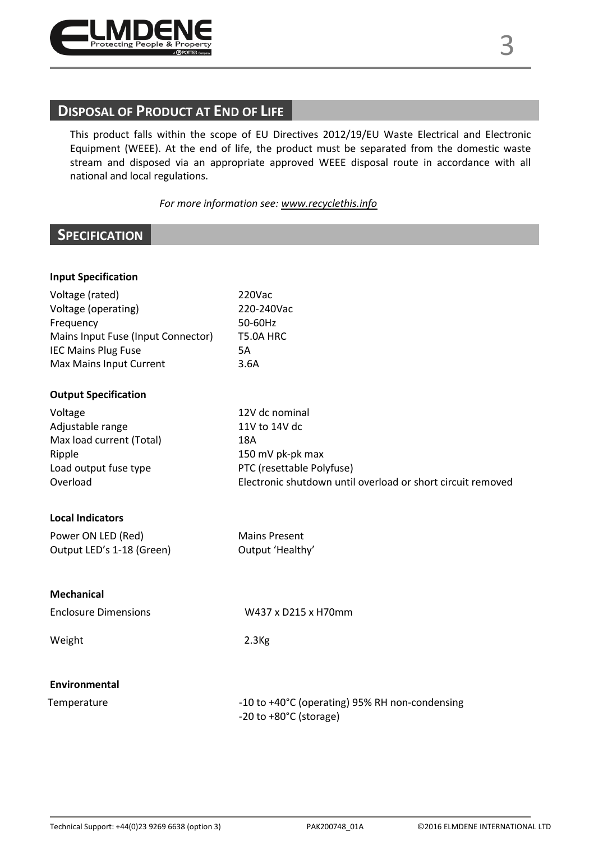

# DISPOSAL OF PRODUCT AT END OF LIFE

This product falls within the scope of EU Directives 2012/19/EU Waste Electrical and Electronic Equipment (WEEE). At the end of life, the product must be separated from the domestic waste stream and disposed via an appropriate approved WEEE disposal route in accordance with all national and local regulations.

#### For more information see: www.recyclethis.info

## **SPECIFICATION**

| <b>Input Specification</b>         |                                                                                      |  |
|------------------------------------|--------------------------------------------------------------------------------------|--|
| Voltage (rated)                    | 220Vac                                                                               |  |
| Voltage (operating)                | 220-240Vac                                                                           |  |
| Frequency                          | 50-60Hz                                                                              |  |
| Mains Input Fuse (Input Connector) | T5.0A HRC                                                                            |  |
| <b>IEC Mains Plug Fuse</b>         | 5A                                                                                   |  |
| Max Mains Input Current            | 3.6A                                                                                 |  |
| <b>Output Specification</b>        |                                                                                      |  |
| Voltage                            | 12V dc nominal                                                                       |  |
| Adjustable range                   | 11V to 14V dc                                                                        |  |
| Max load current (Total)           | 18A<br>150 mV pk-pk max                                                              |  |
| Ripple                             |                                                                                      |  |
| Load output fuse type              | PTC (resettable Polyfuse)                                                            |  |
| Overload                           | Electronic shutdown until overload or short circuit removed                          |  |
| <b>Local Indicators</b>            |                                                                                      |  |
| Power ON LED (Red)                 | <b>Mains Present</b>                                                                 |  |
| Output LED's 1-18 (Green)          | Output 'Healthy'                                                                     |  |
|                                    |                                                                                      |  |
| Mechanical                         |                                                                                      |  |
| <b>Enclosure Dimensions</b>        | W437 x D215 x H70mm                                                                  |  |
| Weight                             | 2.3 <sub>Kg</sub>                                                                    |  |
| Environmental                      |                                                                                      |  |
|                                    |                                                                                      |  |
| Temperature                        | -10 to +40°C (operating) 95% RH non-condensing<br>$-20$ to $+80^{\circ}$ C (storage) |  |